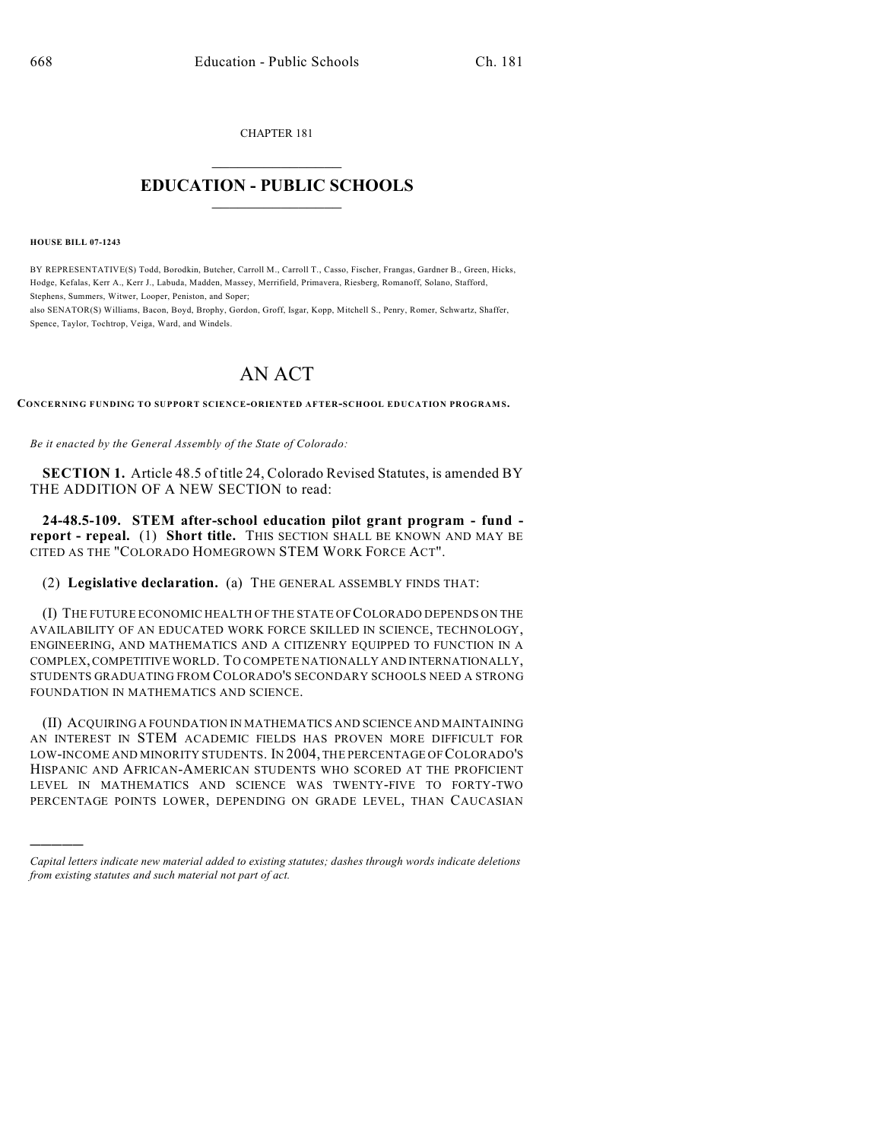CHAPTER 181  $\overline{\phantom{a}}$  . The set of the set of the set of the set of the set of the set of the set of the set of the set of the set of the set of the set of the set of the set of the set of the set of the set of the set of the set o

## **EDUCATION - PUBLIC SCHOOLS**  $\_$   $\_$   $\_$   $\_$   $\_$   $\_$   $\_$   $\_$   $\_$

**HOUSE BILL 07-1243**

)))))

BY REPRESENTATIVE(S) Todd, Borodkin, Butcher, Carroll M., Carroll T., Casso, Fischer, Frangas, Gardner B., Green, Hicks, Hodge, Kefalas, Kerr A., Kerr J., Labuda, Madden, Massey, Merrifield, Primavera, Riesberg, Romanoff, Solano, Stafford, Stephens, Summers, Witwer, Looper, Peniston, and Soper;

also SENATOR(S) Williams, Bacon, Boyd, Brophy, Gordon, Groff, Isgar, Kopp, Mitchell S., Penry, Romer, Schwartz, Shaffer, Spence, Taylor, Tochtrop, Veiga, Ward, and Windels.

## AN ACT

**CONCERNING FUNDING TO SUPPORT SCIENCE-ORIENTED AFTER-SCHOOL EDUCATION PROGRAM S.**

*Be it enacted by the General Assembly of the State of Colorado:*

**SECTION 1.** Article 48.5 of title 24, Colorado Revised Statutes, is amended BY THE ADDITION OF A NEW SECTION to read:

**24-48.5-109. STEM after-school education pilot grant program - fund report - repeal.** (1) **Short title.** THIS SECTION SHALL BE KNOWN AND MAY BE CITED AS THE "COLORADO HOMEGROWN STEM WORK FORCE ACT".

(2) **Legislative declaration.** (a) THE GENERAL ASSEMBLY FINDS THAT:

(I) THE FUTURE ECONOMIC HEALTH OF THE STATE OF COLORADO DEPENDS ON THE AVAILABILITY OF AN EDUCATED WORK FORCE SKILLED IN SCIENCE, TECHNOLOGY, ENGINEERING, AND MATHEMATICS AND A CITIZENRY EQUIPPED TO FUNCTION IN A COMPLEX, COMPETITIVE WORLD. TO COMPETE NATIONALLY AND INTERNATIONALLY, STUDENTS GRADUATING FROM COLORADO'S SECONDARY SCHOOLS NEED A STRONG FOUNDATION IN MATHEMATICS AND SCIENCE.

(II) ACQUIRING A FOUNDATION IN MATHEMATICS AND SCIENCE AND MAINTAINING AN INTEREST IN STEM ACADEMIC FIELDS HAS PROVEN MORE DIFFICULT FOR LOW-INCOME AND MINORITY STUDENTS. IN 2004, THE PERCENTAGE OF COLORADO'S HISPANIC AND AFRICAN-AMERICAN STUDENTS WHO SCORED AT THE PROFICIENT LEVEL IN MATHEMATICS AND SCIENCE WAS TWENTY-FIVE TO FORTY-TWO PERCENTAGE POINTS LOWER, DEPENDING ON GRADE LEVEL, THAN CAUCASIAN

*Capital letters indicate new material added to existing statutes; dashes through words indicate deletions from existing statutes and such material not part of act.*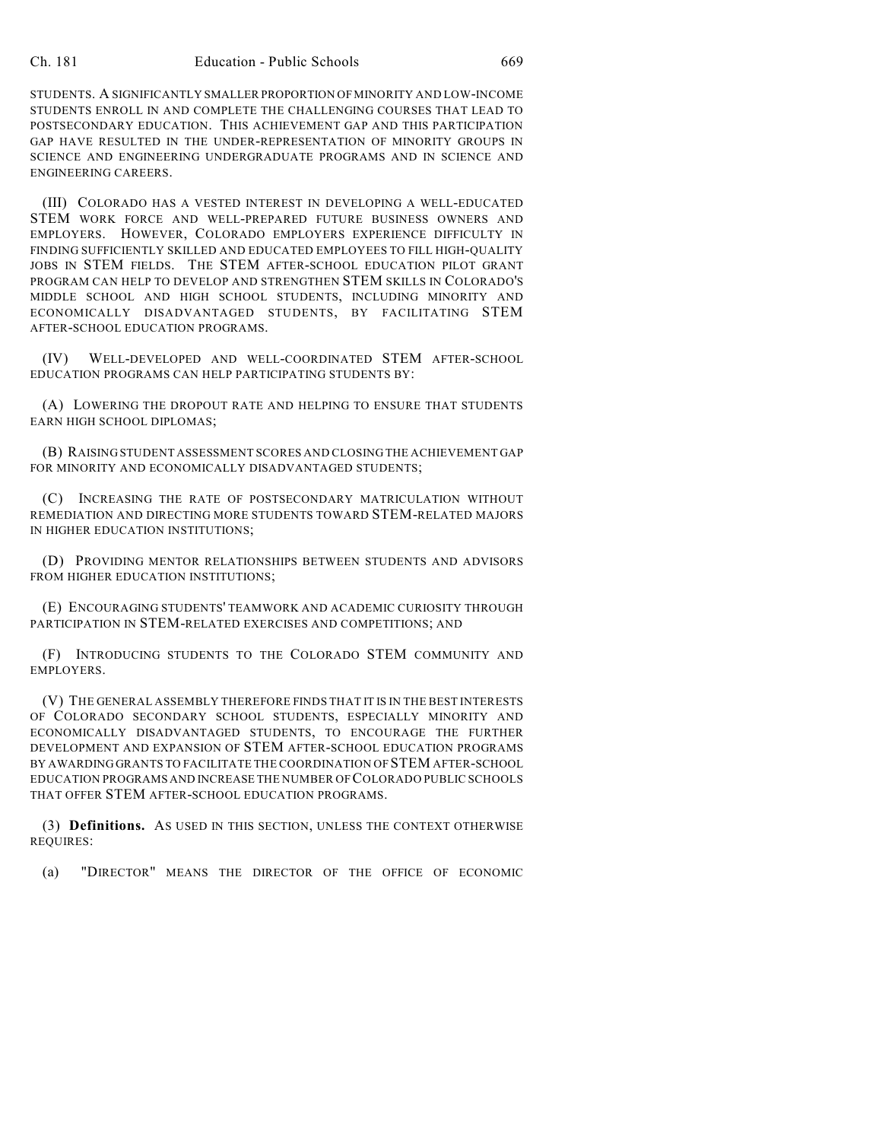STUDENTS. A SIGNIFICANTLY SMALLER PROPORTION OF MINORITY AND LOW-INCOME STUDENTS ENROLL IN AND COMPLETE THE CHALLENGING COURSES THAT LEAD TO POSTSECONDARY EDUCATION. THIS ACHIEVEMENT GAP AND THIS PARTICIPATION GAP HAVE RESULTED IN THE UNDER-REPRESENTATION OF MINORITY GROUPS IN SCIENCE AND ENGINEERING UNDERGRADUATE PROGRAMS AND IN SCIENCE AND ENGINEERING CAREERS.

(III) COLORADO HAS A VESTED INTEREST IN DEVELOPING A WELL-EDUCATED STEM WORK FORCE AND WELL-PREPARED FUTURE BUSINESS OWNERS AND EMPLOYERS. HOWEVER, COLORADO EMPLOYERS EXPERIENCE DIFFICULTY IN FINDING SUFFICIENTLY SKILLED AND EDUCATED EMPLOYEES TO FILL HIGH-QUALITY JOBS IN STEM FIELDS. THE STEM AFTER-SCHOOL EDUCATION PILOT GRANT PROGRAM CAN HELP TO DEVELOP AND STRENGTHEN STEM SKILLS IN COLORADO'S MIDDLE SCHOOL AND HIGH SCHOOL STUDENTS, INCLUDING MINORITY AND ECONOMICALLY DISADVANTAGED STUDENTS, BY FACILITATING STEM AFTER-SCHOOL EDUCATION PROGRAMS.

(IV) WELL-DEVELOPED AND WELL-COORDINATED STEM AFTER-SCHOOL EDUCATION PROGRAMS CAN HELP PARTICIPATING STUDENTS BY:

(A) LOWERING THE DROPOUT RATE AND HELPING TO ENSURE THAT STUDENTS EARN HIGH SCHOOL DIPLOMAS;

(B) RAISING STUDENT ASSESSMENT SCORES AND CLOSING THE ACHIEVEMENT GAP FOR MINORITY AND ECONOMICALLY DISADVANTAGED STUDENTS;

(C) INCREASING THE RATE OF POSTSECONDARY MATRICULATION WITHOUT REMEDIATION AND DIRECTING MORE STUDENTS TOWARD STEM-RELATED MAJORS IN HIGHER EDUCATION INSTITUTIONS;

(D) PROVIDING MENTOR RELATIONSHIPS BETWEEN STUDENTS AND ADVISORS FROM HIGHER EDUCATION INSTITUTIONS;

(E) ENCOURAGING STUDENTS' TEAMWORK AND ACADEMIC CURIOSITY THROUGH PARTICIPATION IN STEM-RELATED EXERCISES AND COMPETITIONS; AND

(F) INTRODUCING STUDENTS TO THE COLORADO STEM COMMUNITY AND EMPLOYERS.

(V) THE GENERAL ASSEMBLY THEREFORE FINDS THAT IT IS IN THE BEST INTERESTS OF COLORADO SECONDARY SCHOOL STUDENTS, ESPECIALLY MINORITY AND ECONOMICALLY DISADVANTAGED STUDENTS, TO ENCOURAGE THE FURTHER DEVELOPMENT AND EXPANSION OF STEM AFTER-SCHOOL EDUCATION PROGRAMS BY AWARDING GRANTS TO FACILITATE THE COORDINATION OF STEM AFTER-SCHOOL EDUCATION PROGRAMS AND INCREASE THE NUMBER OF COLORADO PUBLIC SCHOOLS THAT OFFER STEM AFTER-SCHOOL EDUCATION PROGRAMS.

(3) **Definitions.** AS USED IN THIS SECTION, UNLESS THE CONTEXT OTHERWISE REQUIRES:

(a) "DIRECTOR" MEANS THE DIRECTOR OF THE OFFICE OF ECONOMIC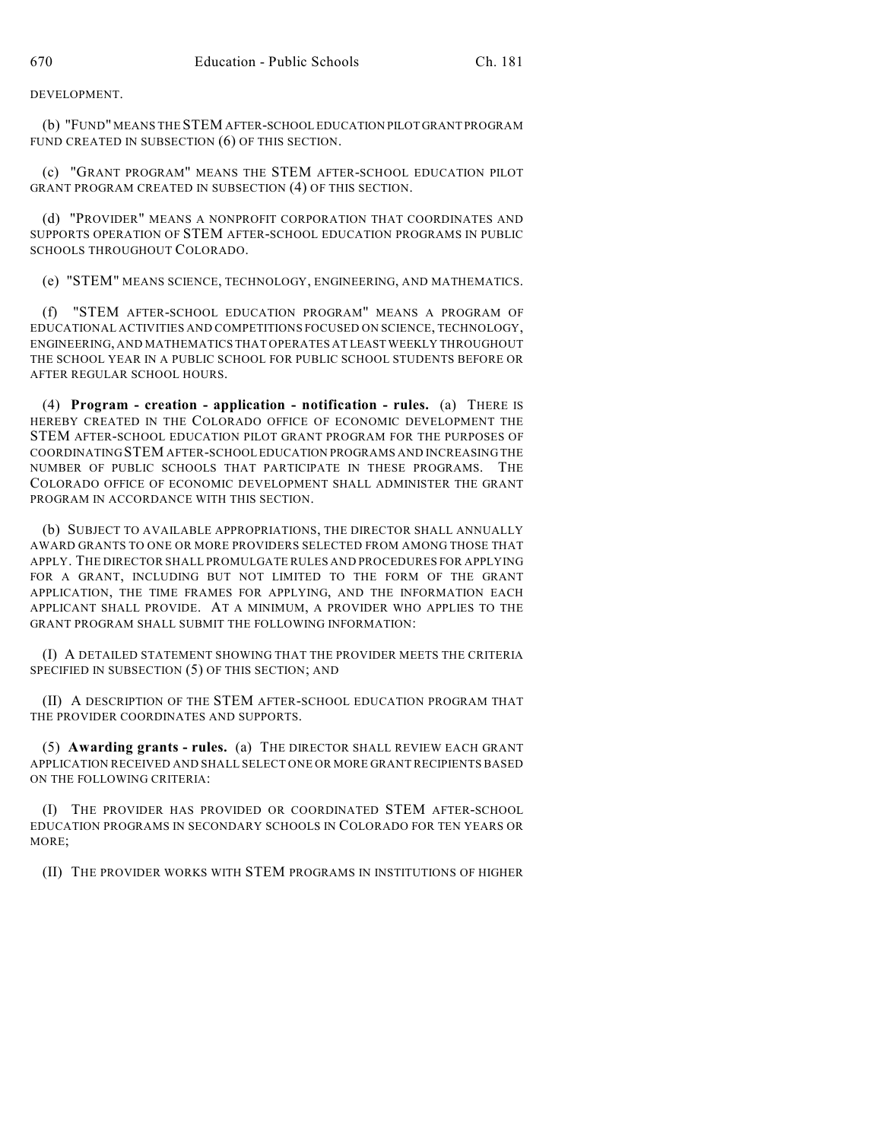DEVELOPMENT.

(b) "FUND" MEANS THE STEM AFTER-SCHOOL EDUCATION PILOT GRANT PROGRAM FUND CREATED IN SUBSECTION (6) OF THIS SECTION.

(c) "GRANT PROGRAM" MEANS THE STEM AFTER-SCHOOL EDUCATION PILOT GRANT PROGRAM CREATED IN SUBSECTION (4) OF THIS SECTION.

(d) "PROVIDER" MEANS A NONPROFIT CORPORATION THAT COORDINATES AND SUPPORTS OPERATION OF STEM AFTER-SCHOOL EDUCATION PROGRAMS IN PUBLIC SCHOOLS THROUGHOUT COLORADO.

(e) "STEM" MEANS SCIENCE, TECHNOLOGY, ENGINEERING, AND MATHEMATICS.

(f) "STEM AFTER-SCHOOL EDUCATION PROGRAM" MEANS A PROGRAM OF EDUCATIONAL ACTIVITIES AND COMPETITIONS FOCUSED ON SCIENCE, TECHNOLOGY, ENGINEERING, AND MATHEMATICS THAT OPERATES AT LEAST WEEKLY THROUGHOUT THE SCHOOL YEAR IN A PUBLIC SCHOOL FOR PUBLIC SCHOOL STUDENTS BEFORE OR AFTER REGULAR SCHOOL HOURS.

(4) **Program - creation - application - notification - rules.** (a) THERE IS HEREBY CREATED IN THE COLORADO OFFICE OF ECONOMIC DEVELOPMENT THE STEM AFTER-SCHOOL EDUCATION PILOT GRANT PROGRAM FOR THE PURPOSES OF COORDINATING STEM AFTER-SCHOOL EDUCATION PROGRAMS AND INCREASING THE NUMBER OF PUBLIC SCHOOLS THAT PARTICIPATE IN THESE PROGRAMS. THE COLORADO OFFICE OF ECONOMIC DEVELOPMENT SHALL ADMINISTER THE GRANT PROGRAM IN ACCORDANCE WITH THIS SECTION.

(b) SUBJECT TO AVAILABLE APPROPRIATIONS, THE DIRECTOR SHALL ANNUALLY AWARD GRANTS TO ONE OR MORE PROVIDERS SELECTED FROM AMONG THOSE THAT APPLY. THE DIRECTOR SHALL PROMULGATE RULES AND PROCEDURES FOR APPLYING FOR A GRANT, INCLUDING BUT NOT LIMITED TO THE FORM OF THE GRANT APPLICATION, THE TIME FRAMES FOR APPLYING, AND THE INFORMATION EACH APPLICANT SHALL PROVIDE. AT A MINIMUM, A PROVIDER WHO APPLIES TO THE GRANT PROGRAM SHALL SUBMIT THE FOLLOWING INFORMATION:

(I) A DETAILED STATEMENT SHOWING THAT THE PROVIDER MEETS THE CRITERIA SPECIFIED IN SUBSECTION (5) OF THIS SECTION; AND

(II) A DESCRIPTION OF THE STEM AFTER-SCHOOL EDUCATION PROGRAM THAT THE PROVIDER COORDINATES AND SUPPORTS.

(5) **Awarding grants - rules.** (a) THE DIRECTOR SHALL REVIEW EACH GRANT APPLICATION RECEIVED AND SHALL SELECT ONE OR MORE GRANT RECIPIENTS BASED ON THE FOLLOWING CRITERIA:

(I) THE PROVIDER HAS PROVIDED OR COORDINATED STEM AFTER-SCHOOL EDUCATION PROGRAMS IN SECONDARY SCHOOLS IN COLORADO FOR TEN YEARS OR MORE;

(II) THE PROVIDER WORKS WITH STEM PROGRAMS IN INSTITUTIONS OF HIGHER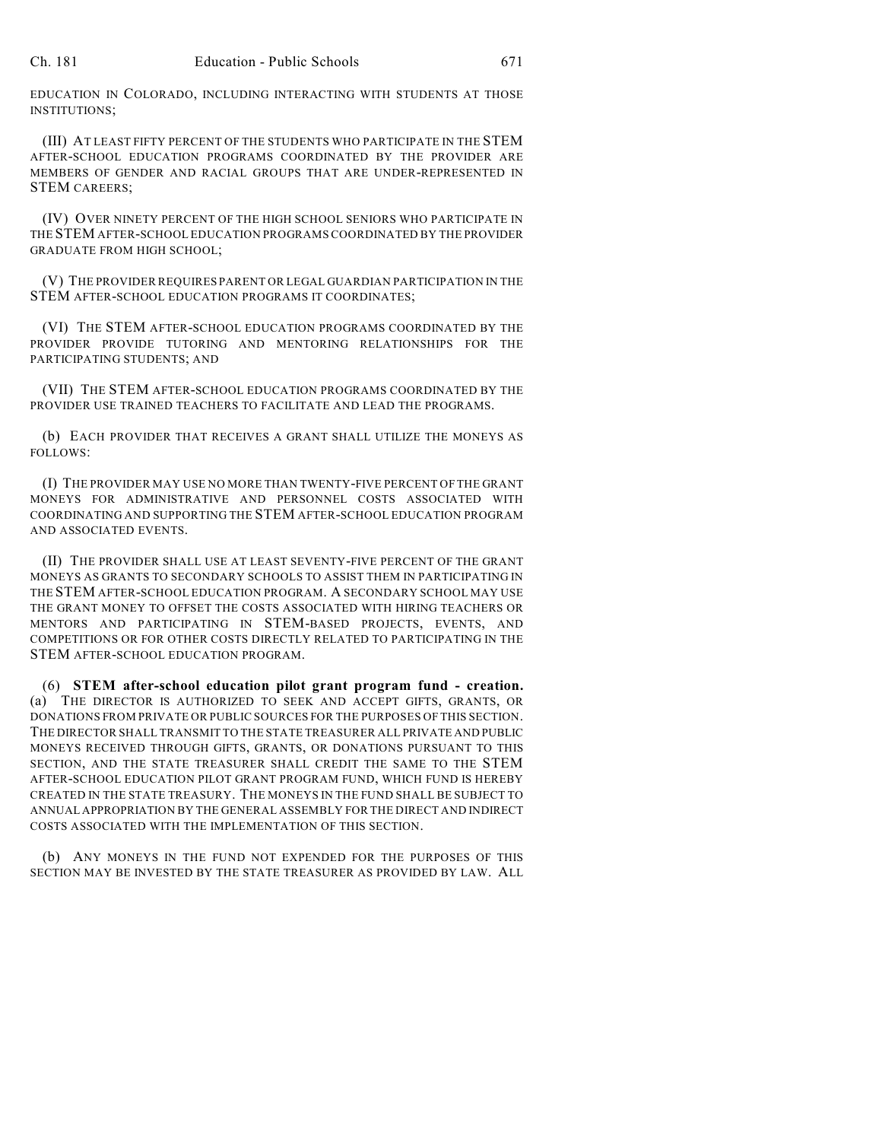EDUCATION IN COLORADO, INCLUDING INTERACTING WITH STUDENTS AT THOSE INSTITUTIONS;

(III) AT LEAST FIFTY PERCENT OF THE STUDENTS WHO PARTICIPATE IN THE STEM AFTER-SCHOOL EDUCATION PROGRAMS COORDINATED BY THE PROVIDER ARE MEMBERS OF GENDER AND RACIAL GROUPS THAT ARE UNDER-REPRESENTED IN STEM CAREERS;

(IV) OVER NINETY PERCENT OF THE HIGH SCHOOL SENIORS WHO PARTICIPATE IN THE STEM AFTER-SCHOOL EDUCATION PROGRAMS COORDINATED BY THE PROVIDER GRADUATE FROM HIGH SCHOOL;

(V) THE PROVIDER REQUIRES PARENT OR LEGAL GUARDIAN PARTICIPATION IN THE STEM AFTER-SCHOOL EDUCATION PROGRAMS IT COORDINATES;

(VI) THE STEM AFTER-SCHOOL EDUCATION PROGRAMS COORDINATED BY THE PROVIDER PROVIDE TUTORING AND MENTORING RELATIONSHIPS FOR THE PARTICIPATING STUDENTS; AND

(VII) THE STEM AFTER-SCHOOL EDUCATION PROGRAMS COORDINATED BY THE PROVIDER USE TRAINED TEACHERS TO FACILITATE AND LEAD THE PROGRAMS.

(b) EACH PROVIDER THAT RECEIVES A GRANT SHALL UTILIZE THE MONEYS AS FOLLOWS:

(I) THE PROVIDER MAY USE NO MORE THAN TWENTY-FIVE PERCENT OF THE GRANT MONEYS FOR ADMINISTRATIVE AND PERSONNEL COSTS ASSOCIATED WITH COORDINATING AND SUPPORTING THE STEM AFTER-SCHOOL EDUCATION PROGRAM AND ASSOCIATED EVENTS.

(II) THE PROVIDER SHALL USE AT LEAST SEVENTY-FIVE PERCENT OF THE GRANT MONEYS AS GRANTS TO SECONDARY SCHOOLS TO ASSIST THEM IN PARTICIPATING IN THE STEM AFTER-SCHOOL EDUCATION PROGRAM. A SECONDARY SCHOOL MAY USE THE GRANT MONEY TO OFFSET THE COSTS ASSOCIATED WITH HIRING TEACHERS OR MENTORS AND PARTICIPATING IN STEM-BASED PROJECTS, EVENTS, AND COMPETITIONS OR FOR OTHER COSTS DIRECTLY RELATED TO PARTICIPATING IN THE STEM AFTER-SCHOOL EDUCATION PROGRAM.

(6) **STEM after-school education pilot grant program fund - creation.** (a) THE DIRECTOR IS AUTHORIZED TO SEEK AND ACCEPT GIFTS, GRANTS, OR DONATIONS FROM PRIVATE OR PUBLIC SOURCES FOR THE PURPOSES OF THIS SECTION. THE DIRECTOR SHALL TRANSMIT TO THE STATE TREASURER ALL PRIVATE AND PUBLIC MONEYS RECEIVED THROUGH GIFTS, GRANTS, OR DONATIONS PURSUANT TO THIS SECTION, AND THE STATE TREASURER SHALL CREDIT THE SAME TO THE STEM AFTER-SCHOOL EDUCATION PILOT GRANT PROGRAM FUND, WHICH FUND IS HEREBY CREATED IN THE STATE TREASURY. THE MONEYS IN THE FUND SHALL BE SUBJECT TO ANNUAL APPROPRIATION BY THE GENERAL ASSEMBLY FOR THE DIRECT AND INDIRECT COSTS ASSOCIATED WITH THE IMPLEMENTATION OF THIS SECTION.

(b) ANY MONEYS IN THE FUND NOT EXPENDED FOR THE PURPOSES OF THIS SECTION MAY BE INVESTED BY THE STATE TREASURER AS PROVIDED BY LAW. ALL